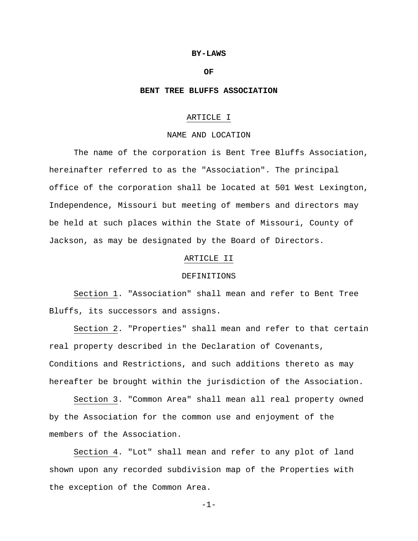#### **BY-LAWS**

#### **OF**

### **BENT TREE BLUFFS ASSOCIATION**

## ARTICLE I

## NAME AND LOCATION

The name of the corporation is Bent Tree Bluffs Association, hereinafter referred to as the "Association". The principal office of the corporation shall be located at 501 West Lexington, Independence, Missouri but meeting of members and directors may be held at such places within the State of Missouri, County of Jackson, as may be designated by the Board of Directors.

# ARTICLE II

#### DEFINITIONS

Section 1. "Association" shall mean and refer to Bent Tree Bluffs, its successors and assigns.

Section 2. "Properties" shall mean and refer to that certain real property described in the Declaration of Covenants, Conditions and Restrictions, and such additions thereto as may hereafter be brought within the jurisdiction of the Association.

Section 3. "Common Area" shall mean all real property owned by the Association for the common use and enjoyment of the members of the Association.

Section 4. "Lot" shall mean and refer to any plot of land shown upon any recorded subdivision map of the Properties with the exception of the Common Area.

-1-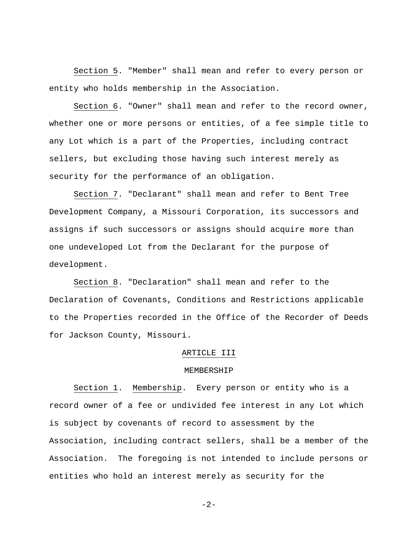Section 5. "Member" shall mean and refer to every person or entity who holds membership in the Association.

Section 6. "Owner" shall mean and refer to the record owner, whether one or more persons or entities, of a fee simple title to any Lot which is a part of the Properties, including contract sellers, but excluding those having such interest merely as security for the performance of an obligation.

Section 7. "Declarant" shall mean and refer to Bent Tree Development Company, a Missouri Corporation, its successors and assigns if such successors or assigns should acquire more than one undeveloped Lot from the Declarant for the purpose of development.

Section 8. "Declaration" shall mean and refer to the Declaration of Covenants, Conditions and Restrictions applicable to the Properties recorded in the Office of the Recorder of Deeds for Jackson County, Missouri.

## ARTICLE III

### MEMBERSHIP

Section 1. Membership. Every person or entity who is a record owner of a fee or undivided fee interest in any Lot which is subject by covenants of record to assessment by the Association, including contract sellers, shall be a member of the Association. The foregoing is not intended to include persons or entities who hold an interest merely as security for the

 $-2-$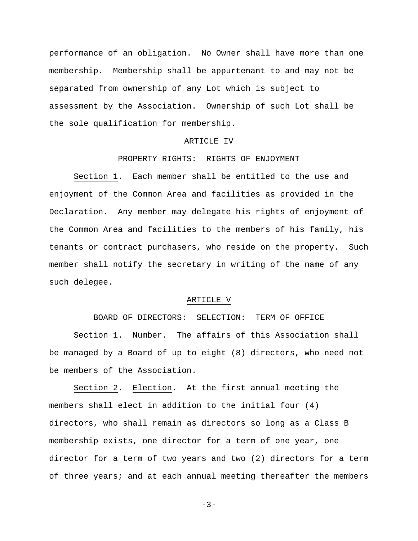performance of an obligation. No Owner shall have more than one membership. Membership shall be appurtenant to and may not be separated from ownership of any Lot which is subject to assessment by the Association. Ownership of such Lot shall be the sole qualification for membership.

#### ARTICLE IV

#### PROPERTY RIGHTS: RIGHTS OF ENJOYMENT

Section 1. Each member shall be entitled to the use and enjoyment of the Common Area and facilities as provided in the Declaration. Any member may delegate his rights of enjoyment of the Common Area and facilities to the members of his family, his tenants or contract purchasers, who reside on the property. Such member shall notify the secretary in writing of the name of any such delegee.

### ARTICLE V

BOARD OF DIRECTORS: SELECTION: TERM OF OFFICE Section 1. Number. The affairs of this Association shall be managed by a Board of up to eight (8) directors, who need not be members of the Association.

Section 2. Election. At the first annual meeting the members shall elect in addition to the initial four (4) directors, who shall remain as directors so long as a Class B membership exists, one director for a term of one year, one director for a term of two years and two (2) directors for a term of three years; and at each annual meeting thereafter the members

 $-3-$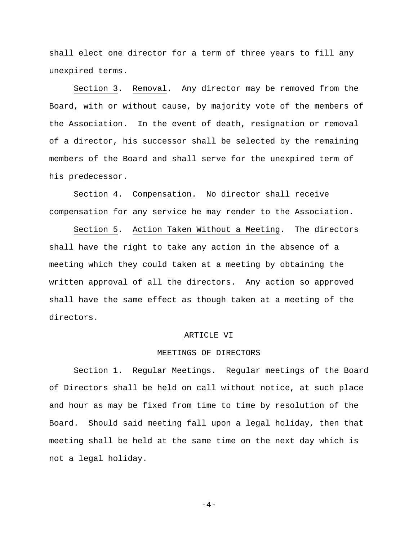shall elect one director for a term of three years to fill any unexpired terms.

Section 3. Removal. Any director may be removed from the Board, with or without cause, by majority vote of the members of the Association. In the event of death, resignation or removal of a director, his successor shall be selected by the remaining members of the Board and shall serve for the unexpired term of his predecessor.

Section 4. Compensation. No director shall receive compensation for any service he may render to the Association.

Section 5. Action Taken Without a Meeting. The directors shall have the right to take any action in the absence of a meeting which they could taken at a meeting by obtaining the written approval of all the directors. Any action so approved shall have the same effect as though taken at a meeting of the directors.

#### ARTICLE VI

### MEETINGS OF DIRECTORS

Section 1. Regular Meetings. Regular meetings of the Board of Directors shall be held on call without notice, at such place and hour as may be fixed from time to time by resolution of the Board. Should said meeting fall upon a legal holiday, then that meeting shall be held at the same time on the next day which is not a legal holiday.

 $-4-$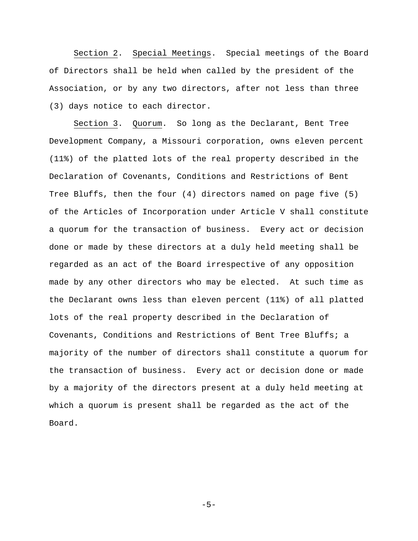Section 2. Special Meetings. Special meetings of the Board of Directors shall be held when called by the president of the Association, or by any two directors, after not less than three (3) days notice to each director.

Section 3. Quorum. So long as the Declarant, Bent Tree Development Company, a Missouri corporation, owns eleven percent (11%) of the platted lots of the real property described in the Declaration of Covenants, Conditions and Restrictions of Bent Tree Bluffs, then the four (4) directors named on page five (5) of the Articles of Incorporation under Article V shall constitute a quorum for the transaction of business. Every act or decision done or made by these directors at a duly held meeting shall be regarded as an act of the Board irrespective of any opposition made by any other directors who may be elected. At such time as the Declarant owns less than eleven percent (11%) of all platted lots of the real property described in the Declaration of Covenants, Conditions and Restrictions of Bent Tree Bluffs; a majority of the number of directors shall constitute a quorum for the transaction of business. Every act or decision done or made by a majority of the directors present at a duly held meeting at which a quorum is present shall be regarded as the act of the Board.

 $-5-$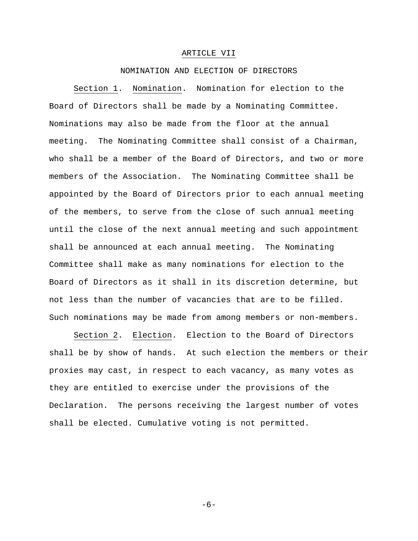#### ARTICLE VII

### NOMINATION AND ELECTION OF DIRECTORS

Section 1. Nomination. Nomination for election to the Board of Directors shall be made by a Nominating Committee. Nominations may also be made from the floor at the annual meeting. The Nominating Committee shall consist of a Chairman, who shall be a member of the Board of Directors, and two or more members of the Association. The Nominating Committee shall be appointed by the Board of Directors prior to each annual meeting of the members, to serve from the close of such annual meeting until the close of the next annual meeting and such appointment shall be announced at each annual meeting. The Nominating Committee shall make as many nominations for election to the Board of Directors as it shall in its discretion determine, but not less than the number of vacancies that are to be filled. Such nominations may be made from among members or non-members.

Section 2. Election. Election to the Board of Directors shall be by show of hands. At such election the members or their proxies may cast, in respect to each vacancy, as many votes as they are entitled to exercise under the provisions of the Declaration. The persons receiving the largest number of votes shall be elected. Cumulative voting is not permitted.

-6-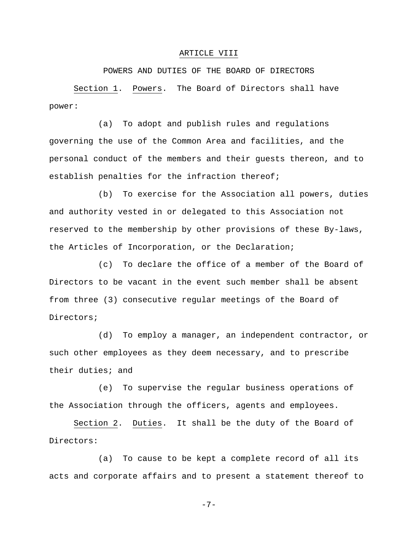#### ARTICLE VIII

POWERS AND DUTIES OF THE BOARD OF DIRECTORS

Section 1. Powers. The Board of Directors shall have power:

(a) To adopt and publish rules and regulations governing the use of the Common Area and facilities, and the personal conduct of the members and their guests thereon, and to establish penalties for the infraction thereof;

(b) To exercise for the Association all powers, duties and authority vested in or delegated to this Association not reserved to the membership by other provisions of these By-laws, the Articles of Incorporation, or the Declaration;

(c) To declare the office of a member of the Board of Directors to be vacant in the event such member shall be absent from three (3) consecutive regular meetings of the Board of Directors;

(d) To employ a manager, an independent contractor, or such other employees as they deem necessary, and to prescribe their duties; and

(e) To supervise the regular business operations of the Association through the officers, agents and employees.

Section 2. Duties. It shall be the duty of the Board of Directors:

(a) To cause to be kept a complete record of all its acts and corporate affairs and to present a statement thereof to

-7-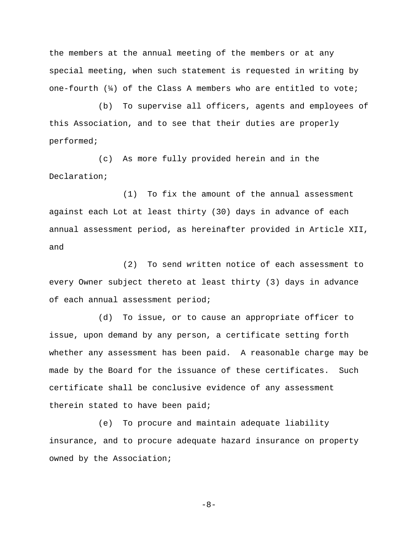the members at the annual meeting of the members or at any special meeting, when such statement is requested in writing by one-fourth  $\left(\frac{1}{4}\right)$  of the Class A members who are entitled to vote;

(b) To supervise all officers, agents and employees of this Association, and to see that their duties are properly performed;

(c) As more fully provided herein and in the Declaration;

(1) To fix the amount of the annual assessment against each Lot at least thirty (30) days in advance of each annual assessment period, as hereinafter provided in Article XII, and

(2) To send written notice of each assessment to every Owner subject thereto at least thirty (3) days in advance of each annual assessment period;

(d) To issue, or to cause an appropriate officer to issue, upon demand by any person, a certificate setting forth whether any assessment has been paid. A reasonable charge may be made by the Board for the issuance of these certificates. Such certificate shall be conclusive evidence of any assessment therein stated to have been paid;

(e) To procure and maintain adequate liability insurance, and to procure adequate hazard insurance on property owned by the Association;

-8-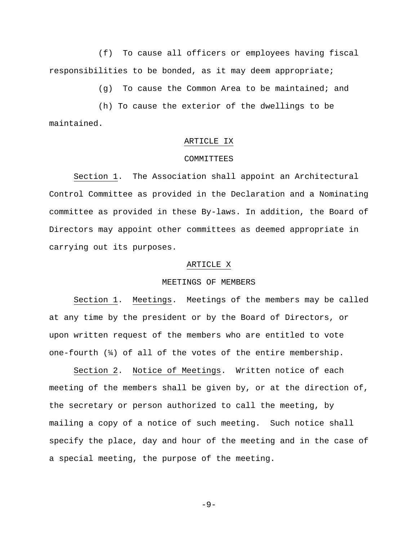(f) To cause all officers or employees having fiscal responsibilities to be bonded, as it may deem appropriate;

(g) To cause the Common Area to be maintained; and

(h) To cause the exterior of the dwellings to be maintained.

#### ARTICLE IX

#### COMMITTEES

Section 1. The Association shall appoint an Architectural Control Committee as provided in the Declaration and a Nominating committee as provided in these By-laws. In addition, the Board of Directors may appoint other committees as deemed appropriate in carrying out its purposes.

#### ARTICLE X

# MEETINGS OF MEMBERS

Section 1. Meetings. Meetings of the members may be called at any time by the president or by the Board of Directors, or upon written request of the members who are entitled to vote one-fourth  $(\frac{1}{4})$  of all of the votes of the entire membership.

Section 2. Notice of Meetings. Written notice of each meeting of the members shall be given by, or at the direction of, the secretary or person authorized to call the meeting, by mailing a copy of a notice of such meeting. Such notice shall specify the place, day and hour of the meeting and in the case of a special meeting, the purpose of the meeting.

 $-9-$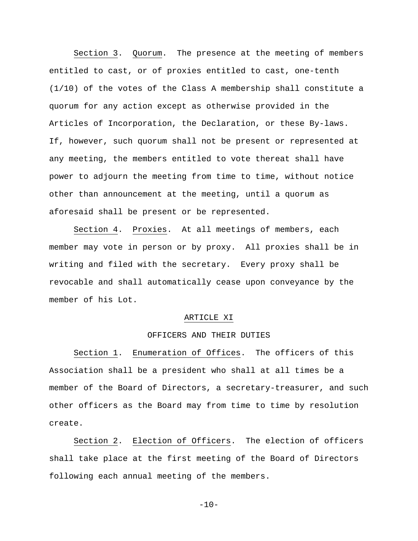Section 3. Quorum. The presence at the meeting of members entitled to cast, or of proxies entitled to cast, one-tenth (1/10) of the votes of the Class A membership shall constitute a quorum for any action except as otherwise provided in the Articles of Incorporation, the Declaration, or these By-laws. If, however, such quorum shall not be present or represented at any meeting, the members entitled to vote thereat shall have power to adjourn the meeting from time to time, without notice other than announcement at the meeting, until a quorum as aforesaid shall be present or be represented.

Section 4. Proxies. At all meetings of members, each member may vote in person or by proxy. All proxies shall be in writing and filed with the secretary. Every proxy shall be revocable and shall automatically cease upon conveyance by the member of his Lot.

#### ARTICLE XI

# OFFICERS AND THEIR DUTIES

Section 1. Enumeration of Offices. The officers of this Association shall be a president who shall at all times be a member of the Board of Directors, a secretary-treasurer, and such other officers as the Board may from time to time by resolution create.

Section 2. Election of Officers. The election of officers shall take place at the first meeting of the Board of Directors following each annual meeting of the members.

 $-10-$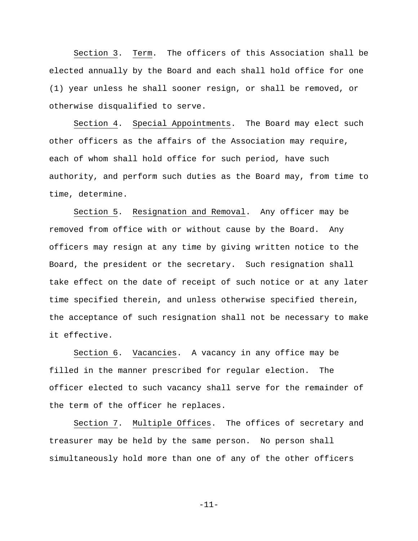Section 3. Term. The officers of this Association shall be elected annually by the Board and each shall hold office for one (1) year unless he shall sooner resign, or shall be removed, or otherwise disqualified to serve.

Section 4. Special Appointments. The Board may elect such other officers as the affairs of the Association may require, each of whom shall hold office for such period, have such authority, and perform such duties as the Board may, from time to time, determine.

Section 5. Resignation and Removal. Any officer may be removed from office with or without cause by the Board. Any officers may resign at any time by giving written notice to the Board, the president or the secretary. Such resignation shall take effect on the date of receipt of such notice or at any later time specified therein, and unless otherwise specified therein, the acceptance of such resignation shall not be necessary to make it effective.

Section 6. Vacancies. A vacancy in any office may be filled in the manner prescribed for regular election. The officer elected to such vacancy shall serve for the remainder of the term of the officer he replaces.

Section 7. Multiple Offices. The offices of secretary and treasurer may be held by the same person. No person shall simultaneously hold more than one of any of the other officers

-11-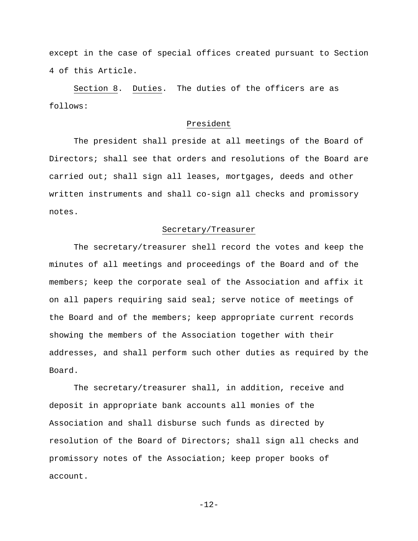except in the case of special offices created pursuant to Section 4 of this Article.

Section 8. Duties. The duties of the officers are as follows:

# President

The president shall preside at all meetings of the Board of Directors; shall see that orders and resolutions of the Board are carried out; shall sign all leases, mortgages, deeds and other written instruments and shall co-sign all checks and promissory notes.

### Secretary/Treasurer

The secretary/treasurer shell record the votes and keep the minutes of all meetings and proceedings of the Board and of the members; keep the corporate seal of the Association and affix it on all papers requiring said seal; serve notice of meetings of the Board and of the members; keep appropriate current records showing the members of the Association together with their addresses, and shall perform such other duties as required by the Board.

The secretary/treasurer shall, in addition, receive and deposit in appropriate bank accounts all monies of the Association and shall disburse such funds as directed by resolution of the Board of Directors; shall sign all checks and promissory notes of the Association; keep proper books of account.

-12-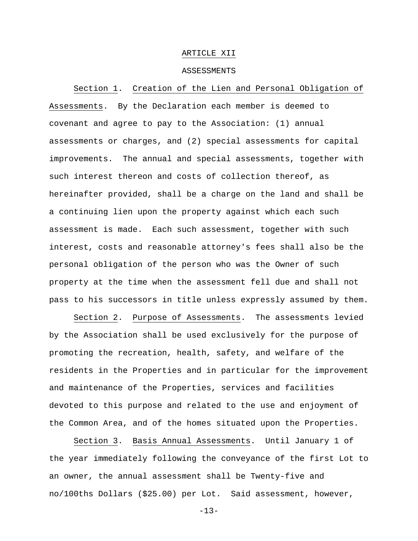### ARTICLE XII

#### ASSESSMENTS

Section 1. Creation of the Lien and Personal Obligation of Assessments. By the Declaration each member is deemed to covenant and agree to pay to the Association: (1) annual assessments or charges, and (2) special assessments for capital improvements. The annual and special assessments, together with such interest thereon and costs of collection thereof, as hereinafter provided, shall be a charge on the land and shall be a continuing lien upon the property against which each such assessment is made. Each such assessment, together with such interest, costs and reasonable attorney's fees shall also be the personal obligation of the person who was the Owner of such property at the time when the assessment fell due and shall not pass to his successors in title unless expressly assumed by them.

Section 2. Purpose of Assessments. The assessments levied by the Association shall be used exclusively for the purpose of promoting the recreation, health, safety, and welfare of the residents in the Properties and in particular for the improvement and maintenance of the Properties, services and facilities devoted to this purpose and related to the use and enjoyment of the Common Area, and of the homes situated upon the Properties.

Section 3. Basis Annual Assessments. Until January 1 of the year immediately following the conveyance of the first Lot to an owner, the annual assessment shall be Twenty-five and no/100ths Dollars (\$25.00) per Lot. Said assessment, however,

 $-13-$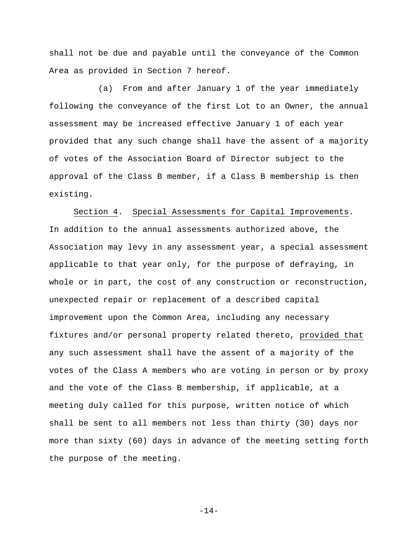shall not be due and payable until the conveyance of the Common Area as provided in Section 7 hereof.

(a) From and after January 1 of the year immediately following the conveyance of the first Lot to an Owner, the annual assessment may be increased effective January 1 of each year provided that any such change shall have the assent of a majority of votes of the Association Board of Director subject to the approval of the Class B member, if a Class B membership is then existing.

Section 4. Special Assessments for Capital Improvements. In addition to the annual assessments authorized above, the Association may levy in any assessment year, a special assessment applicable to that year only, for the purpose of defraying, in whole or in part, the cost of any construction or reconstruction, unexpected repair or replacement of a described capital improvement upon the Common Area, including any necessary fixtures and/or personal property related thereto, provided that any such assessment shall have the assent of a majority of the votes of the Class A members who are voting in person or by proxy and the vote of the Class B membership, if applicable, at a meeting duly called for this purpose, written notice of which shall be sent to all members not less than thirty (30) days nor more than sixty (60) days in advance of the meeting setting forth the purpose of the meeting.

-14-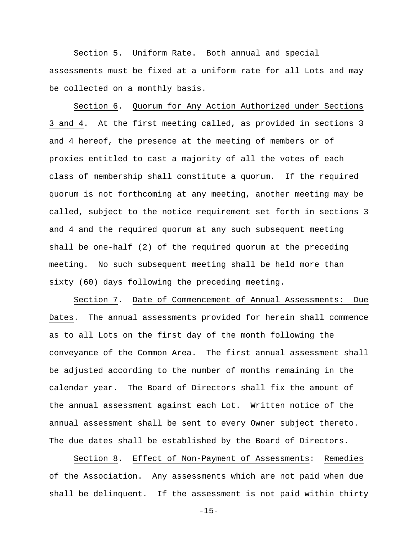Section 5. Uniform Rate. Both annual and special assessments must be fixed at a uniform rate for all Lots and may be collected on a monthly basis.

Section 6. Quorum for Any Action Authorized under Sections 3 and 4. At the first meeting called, as provided in sections 3 and 4 hereof, the presence at the meeting of members or of proxies entitled to cast a majority of all the votes of each class of membership shall constitute a quorum. If the required quorum is not forthcoming at any meeting, another meeting may be called, subject to the notice requirement set forth in sections 3 and 4 and the required quorum at any such subsequent meeting shall be one-half (2) of the required quorum at the preceding meeting. No such subsequent meeting shall be held more than sixty (60) days following the preceding meeting.

Section 7. Date of Commencement of Annual Assessments: Due Dates. The annual assessments provided for herein shall commence as to all Lots on the first day of the month following the conveyance of the Common Area. The first annual assessment shall be adjusted according to the number of months remaining in the calendar year. The Board of Directors shall fix the amount of the annual assessment against each Lot. Written notice of the annual assessment shall be sent to every Owner subject thereto. The due dates shall be established by the Board of Directors.

Section 8. Effect of Non-Payment of Assessments: Remedies of the Association. Any assessments which are not paid when due shall be delinquent. If the assessment is not paid within thirty

 $-15-$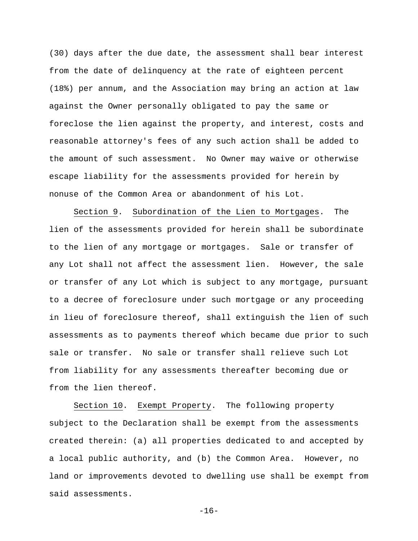(30) days after the due date, the assessment shall bear interest from the date of delinquency at the rate of eighteen percent (18%) per annum, and the Association may bring an action at law against the Owner personally obligated to pay the same or foreclose the lien against the property, and interest, costs and reasonable attorney's fees of any such action shall be added to the amount of such assessment. No Owner may waive or otherwise escape liability for the assessments provided for herein by nonuse of the Common Area or abandonment of his Lot.

Section 9. Subordination of the Lien to Mortgages. The lien of the assessments provided for herein shall be subordinate to the lien of any mortgage or mortgages. Sale or transfer of any Lot shall not affect the assessment lien. However, the sale or transfer of any Lot which is subject to any mortgage, pursuant to a decree of foreclosure under such mortgage or any proceeding in lieu of foreclosure thereof, shall extinguish the lien of such assessments as to payments thereof which became due prior to such sale or transfer. No sale or transfer shall relieve such Lot from liability for any assessments thereafter becoming due or from the lien thereof.

Section 10. Exempt Property. The following property subject to the Declaration shall be exempt from the assessments created therein: (a) all properties dedicated to and accepted by a local public authority, and (b) the Common Area. However, no land or improvements devoted to dwelling use shall be exempt from said assessments.

 $-16-$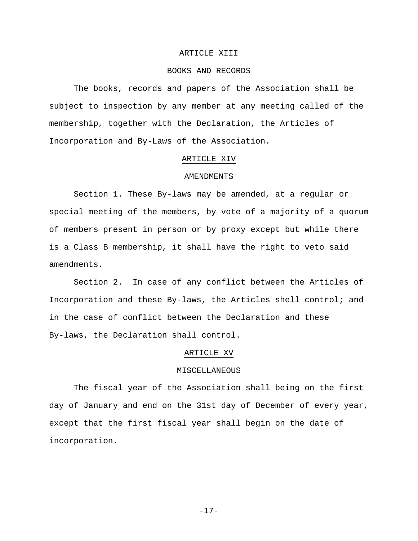#### ARTICLE XIII

### BOOKS AND RECORDS

The books, records and papers of the Association shall be subject to inspection by any member at any meeting called of the membership, together with the Declaration, the Articles of Incorporation and By-Laws of the Association.

### ARTICLE XIV

# AMENDMENTS

Section 1. These By-laws may be amended, at a regular or special meeting of the members, by vote of a majority of a quorum of members present in person or by proxy except but while there is a Class B membership, it shall have the right to veto said amendments.

Section 2. In case of any conflict between the Articles of Incorporation and these By-laws, the Articles shell control; and in the case of conflict between the Declaration and these By-laws, the Declaration shall control.

## ARTICLE XV

### MISCELLANEOUS

The fiscal year of the Association shall being on the first day of January and end on the 31st day of December of every year, except that the first fiscal year shall begin on the date of incorporation.

-17-